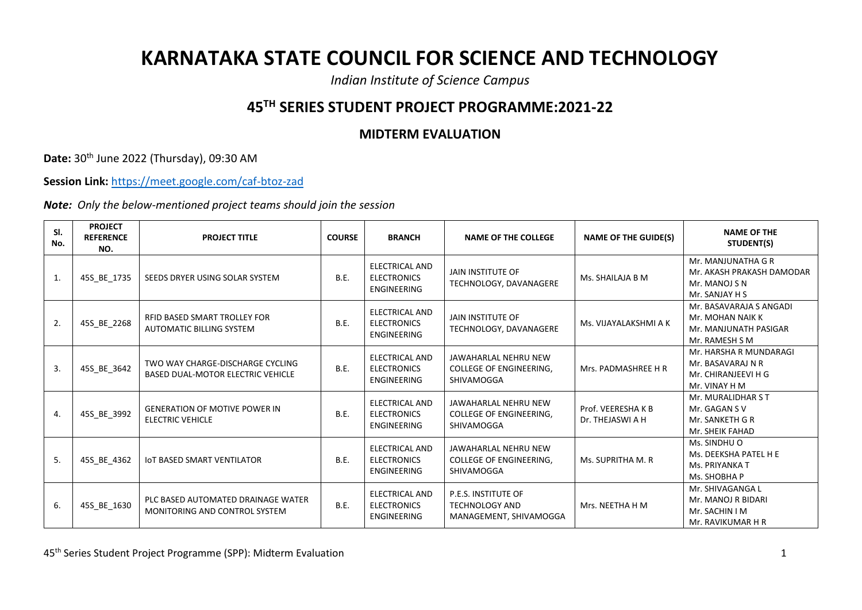## **KARNATAKA STATE COUNCIL FOR SCIENCE AND TECHNOLOGY**

*Indian Institute of Science Campus*

## **45TH SERIES STUDENT PROJECT PROGRAMME:2021-22**

## **MIDTERM EVALUATION**

**Date:** 30th June 2022 (Thursday), 09:30 AM

**Session Link:** <https://meet.google.com/caf-btoz-zad>

*Note: Only the below-mentioned project teams should join the session*

| SI.<br>No. | <b>PROJECT</b><br><b>REFERENCE</b><br>NO. | <b>PROJECT TITLE</b>                                                         | <b>COURSE</b> | <b>BRANCH</b>                                                     | <b>NAME OF THE COLLEGE</b>                                                    | <b>NAME OF THE GUIDE(S)</b>          | <b>NAME OF THE</b><br>STUDENT(S)                                                       |
|------------|-------------------------------------------|------------------------------------------------------------------------------|---------------|-------------------------------------------------------------------|-------------------------------------------------------------------------------|--------------------------------------|----------------------------------------------------------------------------------------|
| 1.         | 45S_BE_1735                               | SEEDS DRYER USING SOLAR SYSTEM                                               | B.E.          | <b>ELECTRICAL AND</b><br><b>ELECTRONICS</b><br><b>ENGINEERING</b> | JAIN INSTITUTE OF<br>TECHNOLOGY, DAVANAGERE                                   | Ms. SHAILAJA B M                     | Mr. MANJUNATHA G R<br>Mr. AKASH PRAKASH DAMODAR<br>Mr. MANOJ S N<br>Mr. SANJAY H S     |
| 2.         | 45S_BE_2268                               | RFID BASED SMART TROLLEY FOR<br><b>AUTOMATIC BILLING SYSTEM</b>              | B.E.          | ELECTRICAL AND<br><b>ELECTRONICS</b><br><b>ENGINEERING</b>        | <b>JAIN INSTITUTE OF</b><br>TECHNOLOGY, DAVANAGERE                            | Ms. VIJAYALAKSHMI A K                | Mr. BASAVARAJA S ANGADI<br>Mr. MOHAN NAIK K<br>Mr. MANJUNATH PASIGAR<br>Mr. RAMESH S M |
| 3.         | 45S_BE_3642                               | TWO WAY CHARGE-DISCHARGE CYCLING<br><b>BASED DUAL-MOTOR ELECTRIC VEHICLE</b> | B.E.          | <b>ELECTRICAL AND</b><br><b>ELECTRONICS</b><br>ENGINEERING        | JAWAHARLAL NEHRU NEW<br>COLLEGE OF ENGINEERING,<br>SHIVAMOGGA                 | Mrs. PADMASHREE H R                  | Mr. HARSHA R MUNDARAGI<br>Mr. BASAVARAJ N R<br>Mr. CHIRANJEEVI H G<br>Mr. VINAY H M    |
| 4.         | 45S_BE_3992                               | <b>GENERATION OF MOTIVE POWER IN</b><br><b>ELECTRIC VEHICLE</b>              | B.E.          | <b>ELECTRICAL AND</b><br><b>ELECTRONICS</b><br>ENGINEERING        | JAWAHARLAL NEHRU NEW<br><b>COLLEGE OF ENGINEERING.</b><br>SHIVAMOGGA          | Prof. VEERESHAKB<br>Dr. THEJASWI A H | Mr. MURALIDHAR ST<br>Mr. GAGAN S V<br>Mr. SANKETH G R<br>Mr. SHEIK FAHAD               |
| 5.         | 45S_BE_4362                               | <b>IOT BASED SMART VENTILATOR</b>                                            | B.E.          | <b>ELECTRICAL AND</b><br><b>ELECTRONICS</b><br>ENGINEERING        | JAWAHARLAL NEHRU NEW<br>COLLEGE OF ENGINEERING,<br>SHIVAMOGGA                 | Ms. SUPRITHA M. R                    | Ms. SINDHU O<br>Ms. DEEKSHA PATEL H E<br>Ms. PRIYANKA T<br>Ms. SHOBHA P                |
| 6.         | 45S_BE_1630                               | PLC BASED AUTOMATED DRAINAGE WATER<br>MONITORING AND CONTROL SYSTEM          | B.E.          | ELECTRICAL AND<br><b>ELECTRONICS</b><br>ENGINEERING               | <b>P.E.S. INSTITUTE OF</b><br><b>TECHNOLOGY AND</b><br>MANAGEMENT, SHIVAMOGGA | Mrs. NEETHA H M                      | Mr. SHIVAGANGA L<br>Mr. MANOJ R BIDARI<br>Mr. SACHIN I M<br>Mr. RAVIKUMAR H R          |